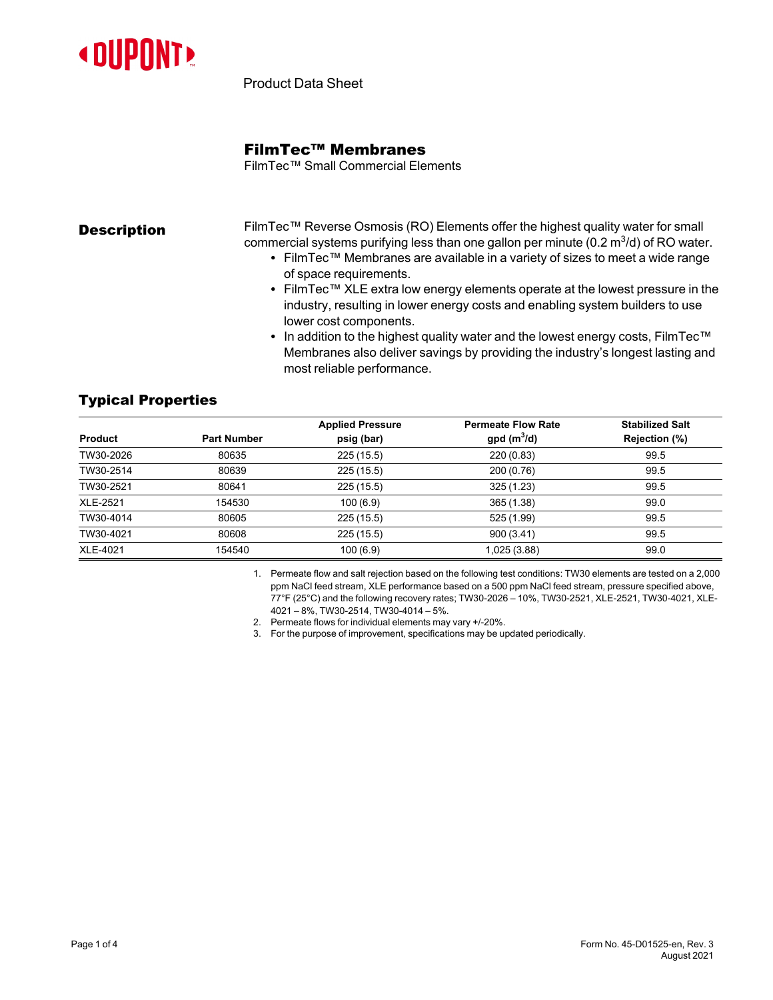

Product Data Sheet

## FilmTec™ Membranes

FilmTec™ Small Commercial Elements

**Description** FilmTec™ Reverse Osmosis (RO) Elements offer the highest quality water for small commercial systems purifying less than one gallon per minute (0.2  $\mathrm{m}^{3}/\mathrm{d}$ ) of RO water.

- FilmTec™ Membranes are available in a variety of sizes to meet a wide range of space requirements.
- FilmTec™ XLE extra low energy elements operate at the lowest pressure in the industry, resulting in lower energy costs and enabling system builders to use lower cost components.
- In addition to the highest quality water and the lowest energy costs, FilmTec™ Membranes also deliver savings by providing the industry's longest lasting and most reliable performance.

# Typical Properties

|                 |                    | <b>Applied Pressure</b> | <b>Permeate Flow Rate</b> | <b>Stabilized Salt</b> |
|-----------------|--------------------|-------------------------|---------------------------|------------------------|
| <b>Product</b>  | <b>Part Number</b> | psig (bar)              | $gpd(m^3/d)$              | Rejection (%)          |
| TW30-2026       | 80635              | 225(15.5)               | 220 (0.83)                | 99.5                   |
| TW30-2514       | 80639              | 225(15.5)               | 200 (0.76)                | 99.5                   |
| TW30-2521       | 80641              | 225(15.5)               | 325(1.23)                 | 99.5                   |
| <b>XLE-2521</b> | 154530             | 100(6.9)                | 365 (1.38)                | 99.0                   |
| TW30-4014       | 80605              | 225(15.5)               | 525 (1.99)                | 99.5                   |
| TW30-4021       | 80608              | 225(15.5)               | 900(3.41)                 | 99.5                   |
| XLE-4021        | 154540             | 100(6.9)                | 1,025 (3.88)              | 99.0                   |

1. Permeate flow and salt rejection based on the following test conditions: TW30 elements are tested on a 2,000 ppm NaCl feed stream, XLE performance based on a 500 ppm NaCl feed stream, pressure specified above, 77°F (25°C) and the following recovery rates; TW30-2026 – 10%, TW30-2521, XLE-2521, TW30-4021, XLE-4021 – 8%, TW30-2514, TW30-4014 – 5%.

2. Permeate flows for individual elements may vary +/-20%.

3. For the purpose of improvement, specifications may be updated periodically.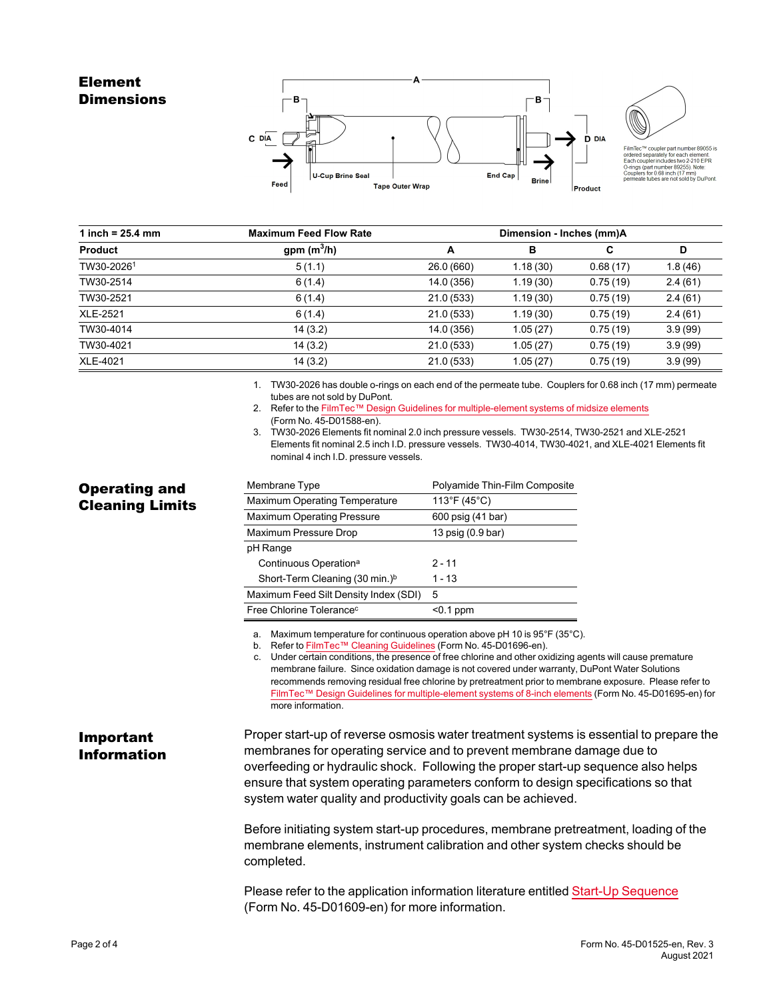## Element **Dimensions**

Operating and Cleaning Limits





FilmTec<sup>TM</sup> coupler part number 89055 is<br>ordered separately for each element.<br>Each coupler includes two 2-210 EPR<br>O-rings (part number 89255). Note:<br>Couplers for 0.68 inch (17 mm)<br>permeate tubes are not sold by DuPont.

| 1 inch = $25.4 \, \text{mm}$ | <b>Maximum Feed Flow Rate</b> |            | Dimension - Inches (mm)A |          |         |
|------------------------------|-------------------------------|------------|--------------------------|----------|---------|
| <b>Product</b>               | gpm $(m^3/h)$                 | А          | в                        | C        | D       |
| TW30-20261                   | 5(1.1)                        | 26.0 (660) | 1.18(30)                 | 0.68(17) | 1.8(46) |
| TW30-2514                    | 6(1.4)                        | 14.0 (356) | 1.19(30)                 | 0.75(19) | 2.4(61) |
| TW30-2521                    | 6(1.4)                        | 21.0(533)  | 1.19(30)                 | 0.75(19) | 2.4(61) |
| <b>XLE-2521</b>              | 6(1.4)                        | 21.0(533)  | 1.19(30)                 | 0.75(19) | 2.4(61) |
| TW30-4014                    | 14(3.2)                       | 14.0 (356) | 1.05(27)                 | 0.75(19) | 3.9(99) |
| TW30-4021                    | 14(3.2)                       | 21.0(533)  | 1.05(27)                 | 0.75(19) | 3.9(99) |
| <b>XLE-4021</b>              | 14(3.2)                       | 21.0(533)  | 1.05(27)                 | 0.75(19) | 3.9(99) |

1. TW30-2026 has double o-rings on each end of the permeate tube. Couplers for 0.68 inch (17 mm) permeate tubes are not sold by DuPont.

- 2. Refer to the FilmTec™ Design Guidelines for [multiple-element](https://www.dupont.com/content/dam/dupont/amer/us/en/water-solutions/public/documents/en/RO-NF-FilmTec-Membrane-Sys-Design-Guidelines-Midsize-Manual-Exc-45-D01588-en.pdf) systems of midsize elements (Form No. 45-D01588-en).
- 
- 3. TW30-2026 Elements fit nominal 2.0 inch pressure vessels. TW30-2514, TW30-2521 and XLE-2521 Elements fit nominal 2.5 inch I.D. pressure vessels. TW30-4014, TW30-4021, and XLE-4021 Elements fit nominal 4 inch I.D. pressure vessels.

| Membrane Type                              | Polyamide Thin-Film Composite |  |  |
|--------------------------------------------|-------------------------------|--|--|
| <b>Maximum Operating Temperature</b>       | 113°F (45°C)                  |  |  |
| <b>Maximum Operating Pressure</b>          | 600 psig (41 bar)             |  |  |
| Maximum Pressure Drop                      | 13 psig (0.9 bar)             |  |  |
| pH Range                                   |                               |  |  |
| Continuous Operation <sup>a</sup>          | $2 - 11$                      |  |  |
| Short-Term Cleaning (30 min.) <sup>b</sup> | 1 - 13                        |  |  |
| Maximum Feed Silt Density Index (SDI)      | 5                             |  |  |
| Free Chlorine Tolerance <sup>c</sup>       | <0.1 ppm                      |  |  |

a. Maximum temperature for continuous operation above pH 10 is 95°F (35°C).

b. Refer to FilmTec™ Cleaning [Guidelines](https://www.dupont.com/content/dam/dupont/amer/us/en/water-solutions/public/documents/en/RO-NF-FilmTec-Cleaning-Procedures-Manual-Exc-45-D01696-en.pdf) (Form No. 45-D01696-en).

c. Under certain conditions, the presence of free chlorine and other oxidizing agents will cause premature membrane failure. Since oxidation damage is not covered under warranty, DuPont Water Solutions recommends removing residual free chlorine by pretreatment prior to membrane exposure. Please refer to FilmTec™ Design Guidelines for [multiple-element](https://www.dupont.com/content/dam/dupont/amer/us/en/water-solutions/public/documents/en/RO-NF-FilmTec-Membrane-Sys-Design-Guidelines-8inch-Manual-Exc-45-D01695-en.pdf) systems of 8-inch elements (Form No. 45-D01695-en) for more information.

Important Information Proper start-up of reverse osmosis water treatment systems is essential to prepare the membranes for operating service and to prevent membrane damage due to overfeeding or hydraulic shock. Following the proper start-up sequence also helps ensure that system operating parameters conform to design specifications so that system water quality and productivity goals can be achieved.

> Before initiating system start-up procedures, membrane pretreatment, loading of the membrane elements, instrument calibration and other system checks should be completed.

Please refer to the application information literature entitled Start-Up [Sequence](https://www.dupont.com/content/dam/dupont/amer/us/en/water-solutions/public/documents/en/RO-NF-FilmTec-Start-Up-Sequence-Manual-Exc-45-D01609-en.pdf) (Form No. 45-D01609-en) for more information.

### Page 2 of 4 Form No. 45-D01525-en, Rev. 3 August 2021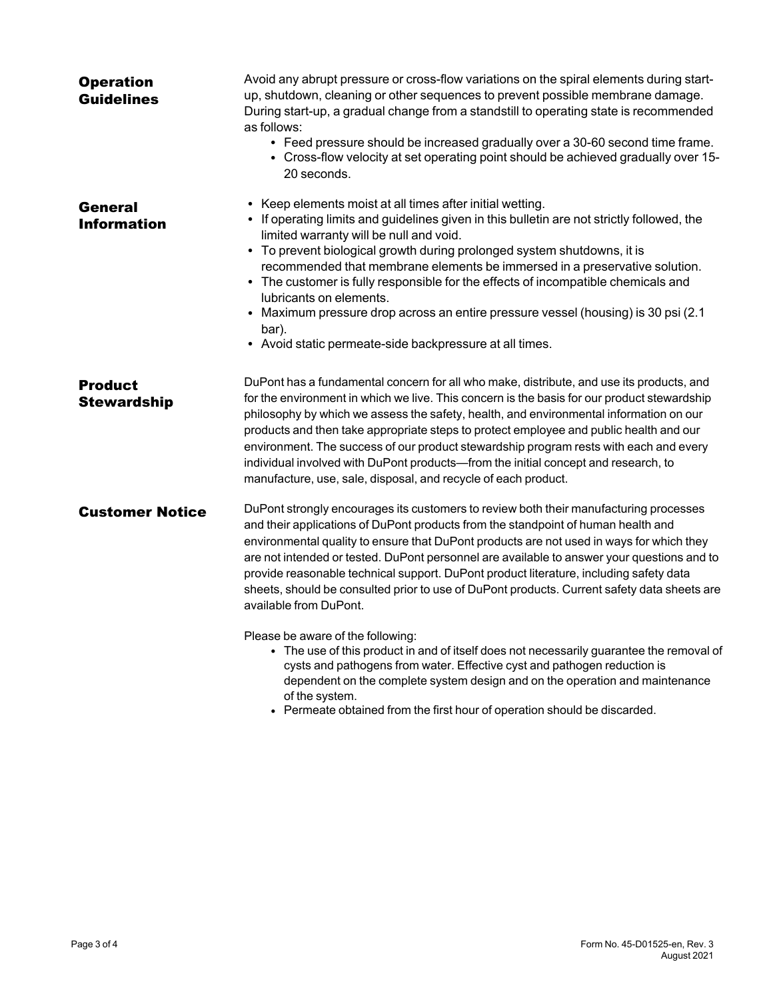| <b>Operation</b><br><b>Guidelines</b> | Avoid any abrupt pressure or cross-flow variations on the spiral elements during start-<br>up, shutdown, cleaning or other sequences to prevent possible membrane damage.<br>During start-up, a gradual change from a standstill to operating state is recommended<br>as follows:<br>• Feed pressure should be increased gradually over a 30-60 second time frame.<br>• Cross-flow velocity at set operating point should be achieved gradually over 15-<br>20 seconds.                                                                                                                                                              |
|---------------------------------------|--------------------------------------------------------------------------------------------------------------------------------------------------------------------------------------------------------------------------------------------------------------------------------------------------------------------------------------------------------------------------------------------------------------------------------------------------------------------------------------------------------------------------------------------------------------------------------------------------------------------------------------|
| <b>General</b><br><b>Information</b>  | • Keep elements moist at all times after initial wetting.<br>• If operating limits and guidelines given in this bulletin are not strictly followed, the<br>limited warranty will be null and void.<br>• To prevent biological growth during prolonged system shutdowns, it is<br>recommended that membrane elements be immersed in a preservative solution.<br>• The customer is fully responsible for the effects of incompatible chemicals and<br>lubricants on elements.<br>• Maximum pressure drop across an entire pressure vessel (housing) is 30 psi (2.1<br>bar).<br>• Avoid static permeate-side backpressure at all times. |
| <b>Product</b><br><b>Stewardship</b>  | DuPont has a fundamental concern for all who make, distribute, and use its products, and<br>for the environment in which we live. This concern is the basis for our product stewardship<br>philosophy by which we assess the safety, health, and environmental information on our<br>products and then take appropriate steps to protect employee and public health and our<br>environment. The success of our product stewardship program rests with each and every<br>individual involved with DuPont products-from the initial concept and research, to<br>manufacture, use, sale, disposal, and recycle of each product.         |
| <b>Customer Notice</b>                | DuPont strongly encourages its customers to review both their manufacturing processes<br>and their applications of DuPont products from the standpoint of human health and<br>environmental quality to ensure that DuPont products are not used in ways for which they<br>are not intended or tested. DuPont personnel are available to answer your questions and to<br>provide reasonable technical support. DuPont product literature, including safety data<br>sheets, should be consulted prior to use of DuPont products. Current safety data sheets are<br>available from DuPont.                                              |
|                                       | Please be aware of the following:<br>• The use of this product in and of itself does not necessarily guarantee the removal of<br>cysts and pathogens from water. Effective cyst and pathogen reduction is<br>dependent on the complete system design and on the operation and maintenance<br>of the system.<br>• Permeate obtained from the first hour of operation should be discarded.                                                                                                                                                                                                                                             |